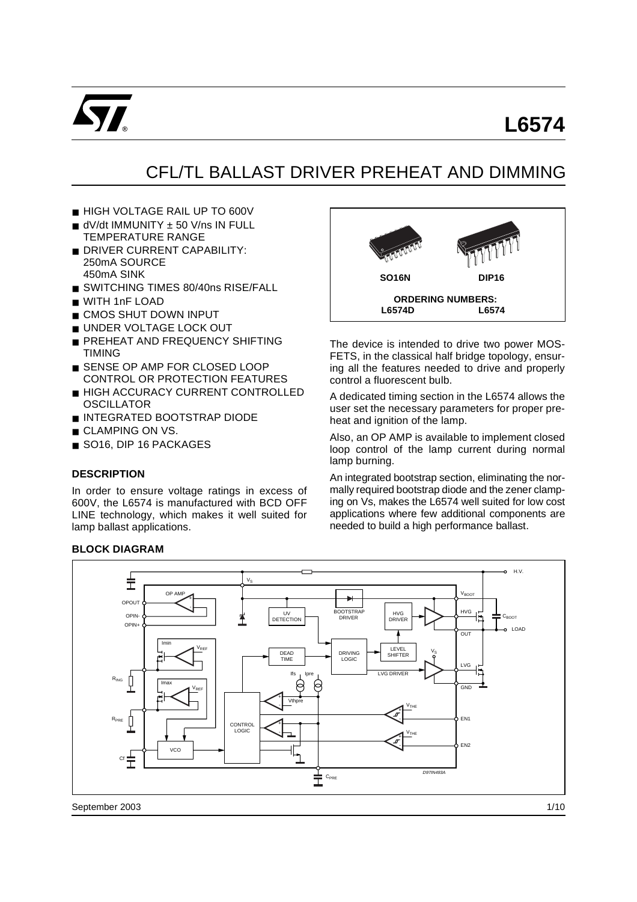

# **L6574**

## CFL/TL BALLAST DRIVER PREHEAT AND DIMMING

- HIGH VOLTAGE RAIL UP TO 600V
- dV/dt IMMUNITY ± 50 V/ns IN FULL TEMPERATURE RANGE
- **B** DRIVER CURRENT CAPABILITY: 250mA SOURCE 450mA SINK
- SWITCHING TIMES 80/40ns RISE/FALL
- WITH 1nF LOAD
- CMOS SHUT DOWN INPUT
- UNDER VOLTAGE LOCK OUT
- PREHEAT AND FREQUENCY SHIFTING TIMING
- SENSE OP AMP FOR CLOSED LOOP CONTROL OR PROTECTION FEATURES
- HIGH ACCURACY CURRENT CONTROLLED **OSCILLATOR**
- INTEGRATED BOOTSTRAP DIODE
- CLAMPING ON VS.
- SO16, DIP 16 PACKAGES

#### **DESCRIPTION**

In order to ensure voltage ratings in excess of 600V, the L6574 is manufactured with BCD OFF LINE technology, which makes it well suited for lamp ballast applications.

#### **BLOCK DIAGRAM**



The device is intended to drive two power MOS-FETS, in the classical half bridge topology, ensuring all the features needed to drive and properly control a fluorescent bulb.

A dedicated timing section in the L6574 allows the user set the necessary parameters for proper preheat and ignition of the lamp.

Also, an OP AMP is available to implement closed loop control of the lamp current during normal lamp burning.

An integrated bootstrap section, eliminating the normally required bootstrap diode and the zener clamping on Vs, makes the L6574 well suited for low cost applications where few additional components are needed to build a high performance ballast.

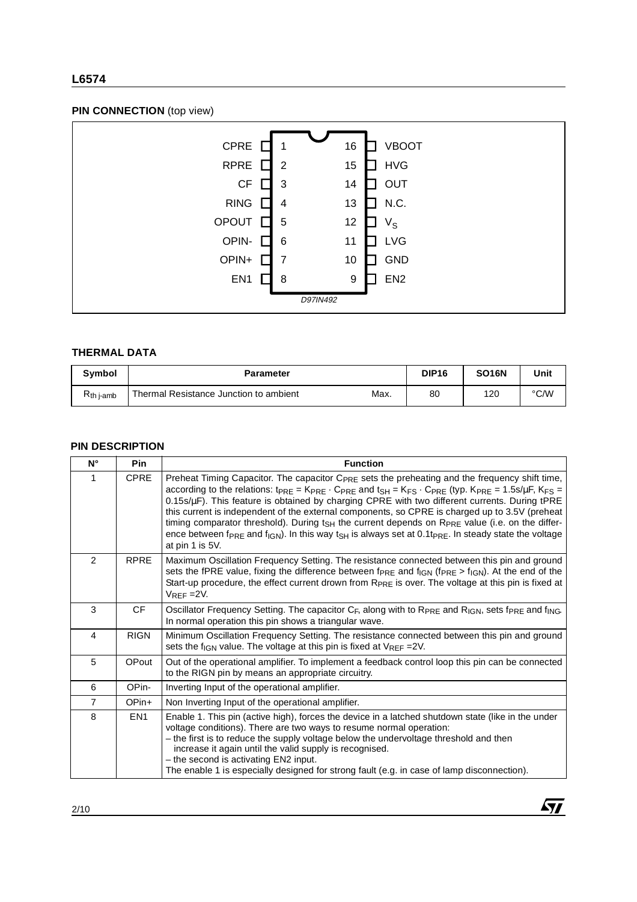## **L6574**

## **PIN CONNECTION** (top view)



#### **THERMAL DATA**

| <b>Symbol</b>       | <b>Parameter</b>                               | <b>DIP16</b> | <b>SO16N</b> | Unit |
|---------------------|------------------------------------------------|--------------|--------------|------|
| n<br>$R_{th}$ j-amb | Max.<br>Thermal Resistance Junction to ambient | 80           | 120          | °C/W |

#### **PIN DESCRIPTION**

| $N^{\circ}$    | <b>Pin</b>      | <b>Function</b>                                                                                                                                                                                                                                                                                                                                                                                                                                                                                                                                                                                                                                                                                                                         |
|----------------|-----------------|-----------------------------------------------------------------------------------------------------------------------------------------------------------------------------------------------------------------------------------------------------------------------------------------------------------------------------------------------------------------------------------------------------------------------------------------------------------------------------------------------------------------------------------------------------------------------------------------------------------------------------------------------------------------------------------------------------------------------------------------|
| 1              | <b>CPRE</b>     | Preheat Timing Capacitor. The capacitor C <sub>PRE</sub> sets the preheating and the frequency shift time,<br>according to the relations: $tpRE = KPRE \cdot CPRE$ and $tSH = KFS \cdot CPRE$ (typ. $KPRE = 1.5s/\mu F$ , $KFS =$<br>0.15s/µF). This feature is obtained by charging CPRE with two different currents. During tPRE<br>this current is independent of the external components, so CPRE is charged up to 3.5V (preheat<br>timing comparator threshold). During $t_{\rm SH}$ the current depends on R <sub>PRE</sub> value (i.e. on the differ-<br>ence between f <sub>PRE</sub> and f <sub>IGN</sub> ). In this way t <sub>SH</sub> is always set at 0.1t <sub>PRE</sub> . In steady state the voltage<br>at pin 1 is 5V. |
| 2              | RPRE            | Maximum Oscillation Frequency Setting. The resistance connected between this pin and ground<br>sets the fPRE value, fixing the difference between f <sub>PRE</sub> and f <sub>IGN</sub> (f <sub>PRE</sub> > f <sub>IGN</sub> ). At the end of the<br>Start-up procedure, the effect current drown from R <sub>PRE</sub> is over. The voltage at this pin is fixed at<br>$V_{REF} = 2V$ .                                                                                                                                                                                                                                                                                                                                                |
| 3              | <b>CF</b>       | Oscillator Frequency Setting. The capacitor $C_F$ , along with to $R_{PRE}$ and $R_{IGN}$ , sets f $P_{RE}$ and f <sub>ING</sub> .<br>In normal operation this pin shows a triangular wave.                                                                                                                                                                                                                                                                                                                                                                                                                                                                                                                                             |
| $\overline{4}$ | <b>RIGN</b>     | Minimum Oscillation Frequency Setting. The resistance connected between this pin and ground<br>sets the f <sub>IGN</sub> value. The voltage at this pin is fixed at $V_{REF}$ = 2V.                                                                                                                                                                                                                                                                                                                                                                                                                                                                                                                                                     |
| 5              | OPout           | Out of the operational amplifier. To implement a feedback control loop this pin can be connected<br>to the RIGN pin by means an appropriate circuitry.                                                                                                                                                                                                                                                                                                                                                                                                                                                                                                                                                                                  |
| 6              | OPin-           | Inverting Input of the operational amplifier.                                                                                                                                                                                                                                                                                                                                                                                                                                                                                                                                                                                                                                                                                           |
| $\overline{7}$ | OPin+           | Non Inverting Input of the operational amplifier.                                                                                                                                                                                                                                                                                                                                                                                                                                                                                                                                                                                                                                                                                       |
| 8              | EN <sub>1</sub> | Enable 1. This pin (active high), forces the device in a latched shutdown state (like in the under<br>voltage conditions). There are two ways to resume normal operation:<br>- the first is to reduce the supply voltage below the undervoltage threshold and then<br>increase it again until the valid supply is recognised.<br>- the second is activating EN2 input.<br>The enable 1 is especially designed for strong fault (e.g. in case of lamp disconnection).                                                                                                                                                                                                                                                                    |

 $\sqrt{11}$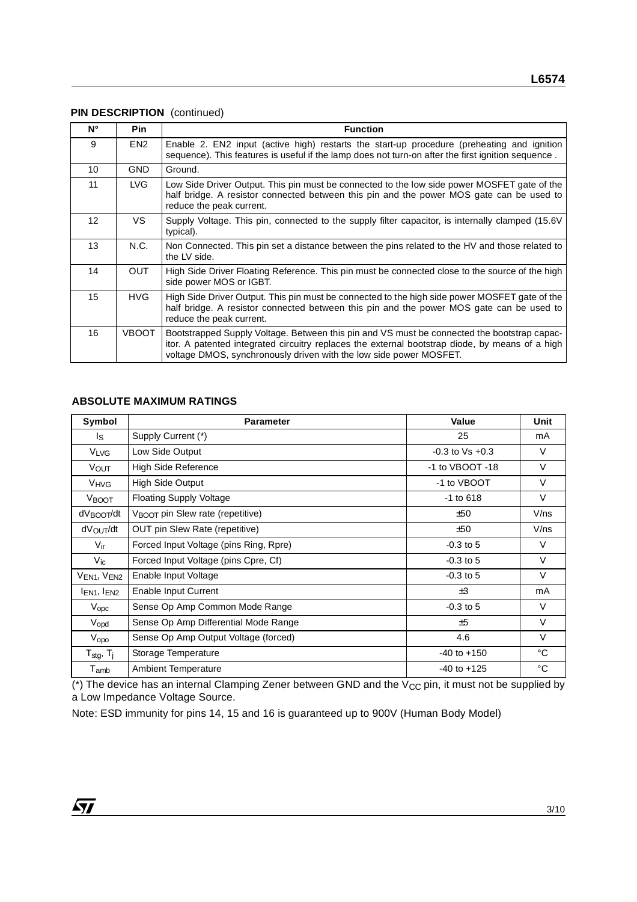## **PIN DESCRIPTION** (continued)

| N° | <b>Pin</b>      | <b>Function</b>                                                                                                                                                                                                                                                      |
|----|-----------------|----------------------------------------------------------------------------------------------------------------------------------------------------------------------------------------------------------------------------------------------------------------------|
| 9  | EN <sub>2</sub> | Enable 2. EN2 input (active high) restarts the start-up procedure (preheating and ignition<br>sequence). This features is useful if the lamp does not turn-on after the first ignition sequence.                                                                     |
| 10 | <b>GND</b>      | Ground.                                                                                                                                                                                                                                                              |
| 11 | LVG.            | Low Side Driver Output. This pin must be connected to the low side power MOSFET gate of the<br>half bridge. A resistor connected between this pin and the power MOS gate can be used to<br>reduce the peak current.                                                  |
| 12 | VS.             | Supply Voltage. This pin, connected to the supply filter capacitor, is internally clamped (15.6V<br>typical).                                                                                                                                                        |
| 13 | N.C.            | Non Connected. This pin set a distance between the pins related to the HV and those related to<br>the LV side.                                                                                                                                                       |
| 14 | <b>OUT</b>      | High Side Driver Floating Reference. This pin must be connected close to the source of the high<br>side power MOS or IGBT.                                                                                                                                           |
| 15 | HVG.            | High Side Driver Output. This pin must be connected to the high side power MOSFET gate of the<br>half bridge. A resistor connected between this pin and the power MOS gate can be used to<br>reduce the peak current.                                                |
| 16 | <b>VBOOT</b>    | Bootstrapped Supply Voltage. Between this pin and VS must be connected the bootstrap capac-<br>itor. A patented integrated circuitry replaces the external bootstrap diode, by means of a high<br>voltage DMOS, synchronously driven with the low side power MOSFET. |

#### **ABSOLUTE MAXIMUM RATINGS**

| Symbol                              | <b>Parameter</b>                                        | Value                | Unit         |
|-------------------------------------|---------------------------------------------------------|----------------------|--------------|
| ls.                                 | Supply Current (*)                                      | 25                   | mA           |
| <b>V<sub>LVG</sub></b>              | Low Side Output                                         | $-0.3$ to $Vs + 0.3$ | $\vee$       |
| VOUT                                | <b>High Side Reference</b>                              | -1 to VBOOT -18      | $\vee$       |
| <b>V<sub>HVG</sub></b>              | High Side Output                                        | -1 to VBOOT          | $\vee$       |
| V <sub>BOOT</sub>                   | <b>Floating Supply Voltage</b>                          | $-1$ to $618$        | $\vee$       |
| dV <sub>BOOT</sub> /dt              | $V_{\text{B}\Omega\Omega T}$ pin Slew rate (repetitive) | ±50                  | $V$ /ns      |
| dV <sub>OUT</sub> /dt               | OUT pin Slew Rate (repetitive)                          | ±50                  | $V$ /ns      |
| $V_{ir}$                            | Forced Input Voltage (pins Ring, Rpre)                  | $-0.3$ to 5          | $\vee$       |
| $V_{ic}$                            | Forced Input Voltage (pins Cpre, Cf)                    | $-0.3$ to 5          | $\vee$       |
| VEN <sub>1</sub> , VEN <sub>2</sub> | Enable Input Voltage                                    | $-0.3$ to 5          | V            |
| I <sub>EN1</sub> , I <sub>EN2</sub> | Enable Input Current                                    | $\pm 3$              | mA           |
| $V_{\text{opc}}$                    | Sense Op Amp Common Mode Range                          | $-0.3$ to 5          | $\vee$       |
| Vopd                                | Sense Op Amp Differential Mode Range                    | ±5                   | $\vee$       |
| $V_{\rm opo}$                       | Sense Op Amp Output Voltage (forced)                    | 4.6                  | $\vee$       |
| $T_{\text{stg}}$ , $T_{\text{j}}$   | Storage Temperature                                     | $-40$ to $+150$      | $^{\circ}$ C |
| $\mathsf{T}_{\mathsf{amb}}$         | <b>Ambient Temperature</b>                              | $-40$ to $+125$      | °C           |

( $*$ ) The device has an internal Clamping Zener between GND and the  $V_{CC}$  pin, it must not be supplied by a Low Impedance Voltage Source.

Note: ESD immunity for pins 14, 15 and 16 is guaranteed up to 900V (Human Body Model)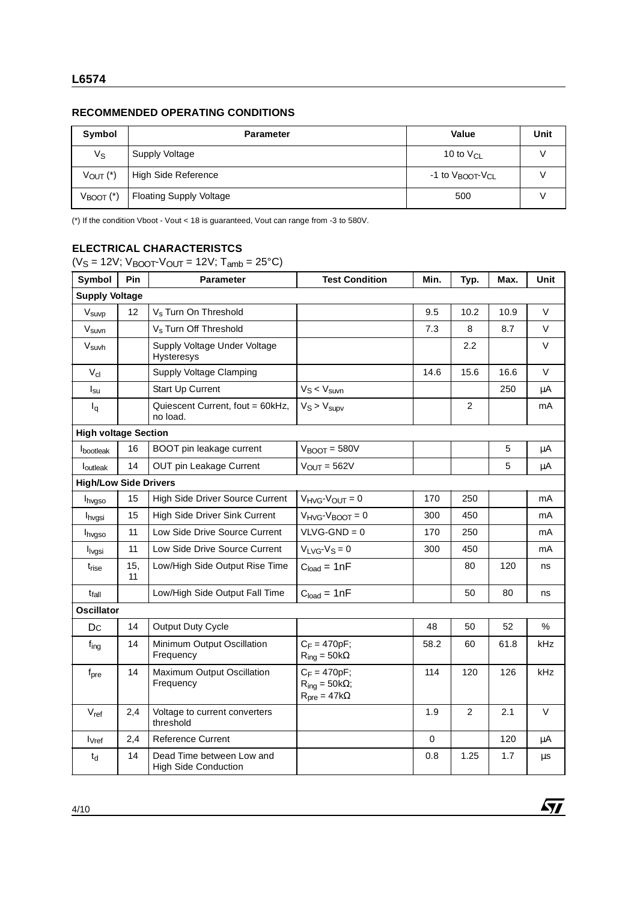## **RECOMMENDED OPERATING CONDITIONS**

| Symbol                  | <b>Parameter</b>               | Value                                    | Unit |
|-------------------------|--------------------------------|------------------------------------------|------|
| $V_{S}$                 | Supply Voltage                 | 10 to $V_{\text{Cl}}$                    |      |
| $V_{OUT}$ $(*)$         | High Side Reference            | -1 to V <sub>BOOT</sub> -V <sub>CL</sub> |      |
| $V_{\text{BOOT}}$ $(*)$ | <b>Floating Supply Voltage</b> | 500                                      |      |

(\*) If the condition Vboot - Vout < 18 is guaranteed, Vout can range from -3 to 580V.

## **ELECTRICAL CHARACTERISTCS**

( $V_S = 12V$ ;  $V_{\text{BOOT}}$  $V_{\text{OUT}} = 12V$ ;  $T_{\text{amb}} = 25^{\circ}\text{C}$ )

| Symbol                       | Pin       | <b>Parameter</b>                                         | <b>Test Condition</b>                                             | Min.      | Typ.           | Max. | Unit   |
|------------------------------|-----------|----------------------------------------------------------|-------------------------------------------------------------------|-----------|----------------|------|--------|
| <b>Supply Voltage</b>        |           |                                                          |                                                                   |           |                |      |        |
| V <sub>suvp</sub>            | 12        | V <sub>s</sub> Turn On Threshold                         |                                                                   | 9.5       | 10.2           | 10.9 | V      |
| V <sub>suvn</sub>            |           | V <sub>s</sub> Turn Off Threshold                        |                                                                   | 7.3       | 8              | 8.7  | V      |
| V <sub>suvh</sub>            |           | Supply Voltage Under Voltage<br><b>Hysteresys</b>        |                                                                   |           | 2.2            |      | V      |
| $V_{\text{cl}}$              |           | Supply Voltage Clamping                                  |                                                                   | 14.6      | 15.6           | 16.6 | $\vee$ |
| $I_{\text{su}}$              |           | Start Up Current                                         | $V_S < V_{\text{surv}}$                                           |           |                | 250  | μA     |
| $I_q$                        |           | Quiescent Current, fout = 60kHz,<br>no load.             | $V_S > V_{SUDV}$                                                  |           | $\overline{2}$ |      | mA     |
| <b>High voltage Section</b>  |           |                                                          |                                                                   |           |                |      |        |
| <b>I</b> bootleak            | 16        | BOOT pin leakage current                                 | $V_{\text{BOOT}} = 580V$                                          |           |                | 5    | μA     |
| loutleak                     | 14        | OUT pin Leakage Current                                  | $V_{OUT} = 562V$                                                  |           |                | 5    | μA     |
| <b>High/Low Side Drivers</b> |           |                                                          |                                                                   |           |                |      |        |
| <b>I</b> hvgso               | 15        | High Side Driver Source Current                          | $V_{HVG}$ - $V_{OUT} = 0$                                         | 170       | 250            |      | mA     |
| <b>I</b> hvgsi               | 15        | High Side Driver Sink Current                            | $V_{HVG}$ - $V_{BOOT}$ = 0                                        | 300       | 450            |      | mA     |
| <b>I</b> hvgso               | 11        | Low Side Drive Source Current                            | $VLVG-GND = 0$                                                    | 170       | 250            |      | mA     |
| l <sub>lvgsi</sub>           | 11        | Low Side Drive Source Current                            | $V_{LVG}$ - $V_S = 0$                                             | 300       | 450            |      | mA     |
| t <sub>rise</sub>            | 15.<br>11 | Low/High Side Output Rise Time                           | $Cload = 1nF$                                                     |           | 80             | 120  | ns     |
| t <sub>fall</sub>            |           | Low/High Side Output Fall Time                           | $Cload = 1nF$                                                     |           | 50             | 80   | ns     |
| <b>Oscillator</b>            |           |                                                          |                                                                   |           |                |      |        |
| Dc                           | 14        | Output Duty Cycle                                        |                                                                   | 48        | 50             | 52   | %      |
| $f_{ing}$                    | 14        | Minimum Output Oscillation<br>Frequency                  | $C_F = 470pF;$<br>$R_{ing} = 50k\Omega$                           | 58.2      | 60             | 61.8 | kHz    |
| f <sub>pre</sub>             | 14        | Maximum Output Oscillation<br>Frequency                  | $C_F = 470pF;$<br>$R_{inq} = 50k\Omega;$<br>$R_{pre} = 47k\Omega$ | 114       | 120            | 126  | kHz    |
| $V_{ref}$                    | 2,4       | Voltage to current converters<br>threshold               |                                                                   | 1.9       | $\overline{c}$ | 2.1  | V      |
| <b>I</b> <sub>vref</sub>     | 2,4       | <b>Reference Current</b>                                 |                                                                   | $\pmb{0}$ |                | 120  | μA     |
| $t_d$                        | 14        | Dead Time between Low and<br><b>High Side Conduction</b> |                                                                   | 0.8       | 1.25           | 1.7  | μs     |

 $\sqrt{27}$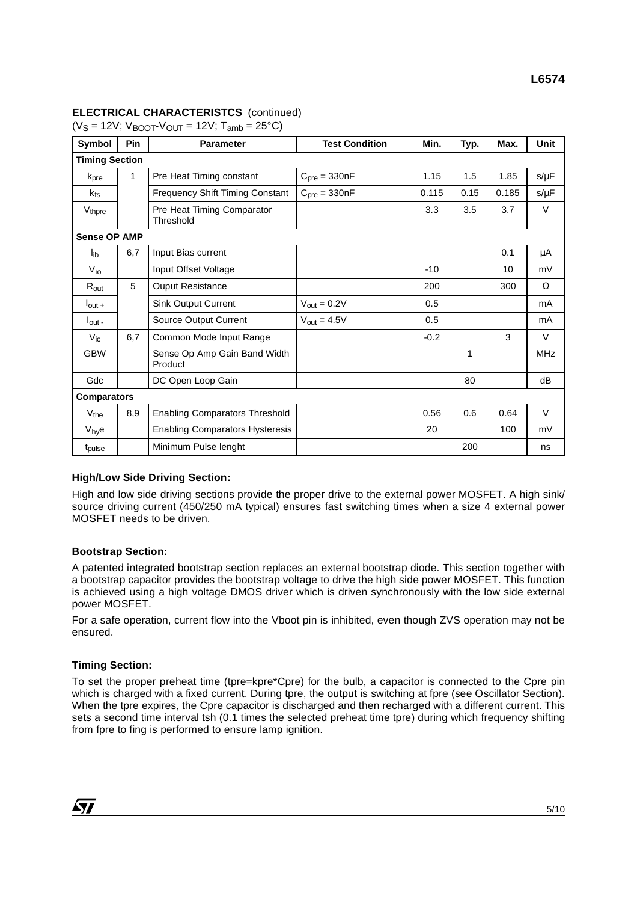## **ELECTRICAL CHARACTERISTCS** (continued)

 $(V_S = 12V; V_{B O O T} - V_{O UT} = 12V; T_{amb} = 25°C)$ 

| Symbol                | Pin | <b>Test Condition</b><br><b>Parameter</b> |                         | Min.   | Typ. | Max.  | Unit       |
|-----------------------|-----|-------------------------------------------|-------------------------|--------|------|-------|------------|
| <b>Timing Section</b> |     |                                           |                         |        |      |       |            |
| $k_{pre}$             | 1   | Pre Heat Timing constant                  | $Cpre = 330nF$          | 1.15   | 1.5  | 1.85  | $s/\mu F$  |
| $k_{fs}$              |     | <b>Frequency Shift Timing Constant</b>    | $Cpre = 330nF$          | 0.115  | 0.15 | 0.185 | $s/\mu F$  |
| V <sub>thpre</sub>    |     | Pre Heat Timing Comparator<br>Threshold   |                         | 3.3    | 3.5  | 3.7   | $\vee$     |
| <b>Sense OP AMP</b>   |     |                                           |                         |        |      |       |            |
| lib                   | 6,7 | Input Bias current                        |                         |        |      | 0.1   | μA         |
| $V_{i0}$              |     | Input Offset Voltage                      |                         | $-10$  |      | 10    | mV         |
| $R_{out}$             | 5   | <b>Ouput Resistance</b>                   |                         | 200    |      | 300   | Ω          |
| $I_{\text{out}} +$    |     | <b>Sink Output Current</b>                | $V_{\text{out}} = 0.2V$ | 0.5    |      |       | mA         |
| $I_{\text{out}}$ -    |     | Source Output Current                     | $V_{\text{out}} = 4.5V$ | 0.5    |      |       | mA         |
| $V_{\text{ic}}$       | 6,7 | Common Mode Input Range                   |                         | $-0.2$ |      | 3     | $\vee$     |
| <b>GBW</b>            |     | Sense Op Amp Gain Band Width<br>Product   |                         |        | 1    |       | <b>MHz</b> |
| Gdc                   |     | DC Open Loop Gain                         |                         |        | 80   |       | dB         |
| <b>Comparators</b>    |     |                                           |                         |        |      |       |            |
| $V_{the}$             | 8,9 | <b>Enabling Comparators Threshold</b>     |                         | 0.56   | 0.6  | 0.64  | V          |
| $V_{hy}e$             |     | <b>Enabling Comparators Hysteresis</b>    |                         | 20     |      | 100   | mV         |
| t <sub>pulse</sub>    |     | Minimum Pulse lenght                      |                         |        | 200  |       | ns         |

#### **High/Low Side Driving Section:**

High and low side driving sections provide the proper drive to the external power MOSFET. A high sink/ source driving current (450/250 mA typical) ensures fast switching times when a size 4 external power MOSFET needs to be driven.

#### **Bootstrap Section:**

A patented integrated bootstrap section replaces an external bootstrap diode. This section together with a bootstrap capacitor provides the bootstrap voltage to drive the high side power MOSFET. This function is achieved using a high voltage DMOS driver which is driven synchronously with the low side external power MOSFET.

For a safe operation, current flow into the Vboot pin is inhibited, even though ZVS operation may not be ensured.

#### **Timing Section:**

To set the proper preheat time (tpre=kpre\*Cpre) for the bulb, a capacitor is connected to the Cpre pin which is charged with a fixed current. During tpre, the output is switching at fpre (see Oscillator Section). When the tpre expires, the Cpre capacitor is discharged and then recharged with a different current. This sets a second time interval tsh (0.1 times the selected preheat time tpre) during which frequency shifting from fpre to fing is performed to ensure lamp ignition.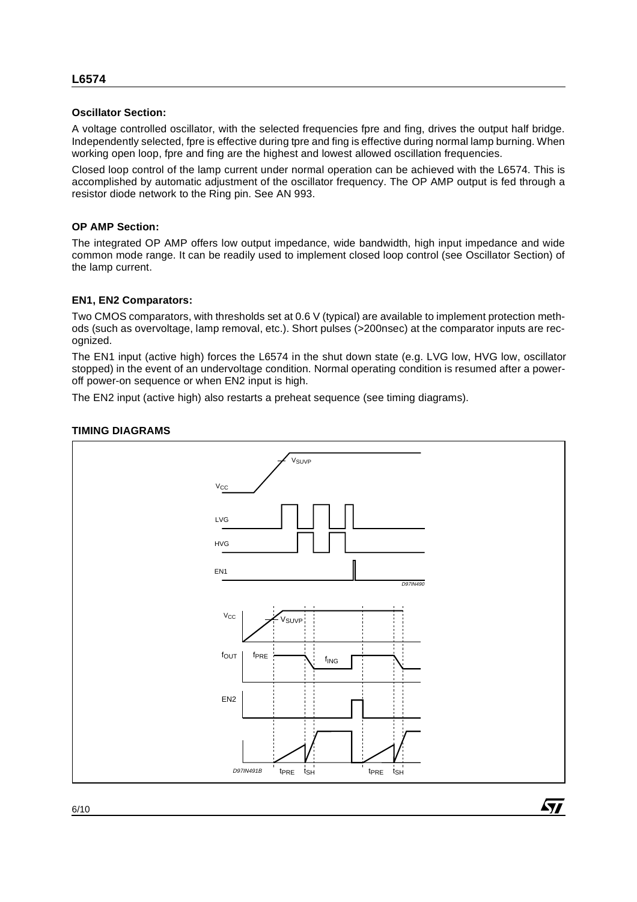#### **Oscillator Section:**

A voltage controlled oscillator, with the selected frequencies fpre and fing, drives the output half bridge. Independently selected, fpre is effective during tpre and fing is effective during normal lamp burning. When working open loop, fpre and fing are the highest and lowest allowed oscillation frequencies.

Closed loop control of the lamp current under normal operation can be achieved with the L6574. This is accomplished by automatic adjustment of the oscillator frequency. The OP AMP output is fed through a resistor diode network to the Ring pin. See AN 993.

#### **OP AMP Section:**

The integrated OP AMP offers low output impedance, wide bandwidth, high input impedance and wide common mode range. It can be readily used to implement closed loop control (see Oscillator Section) of the lamp current.

## **EN1, EN2 Comparators:**

Two CMOS comparators, with thresholds set at 0.6 V (typical) are available to implement protection methods (such as overvoltage, lamp removal, etc.). Short pulses (>200nsec) at the comparator inputs are recognized.

The EN1 input (active high) forces the L6574 in the shut down state (e.g. LVG low, HVG low, oscillator stopped) in the event of an undervoltage condition. Normal operating condition is resumed after a poweroff power-on sequence or when EN2 input is high.

The EN2 input (active high) also restarts a preheat sequence (see timing diagrams).

## **TIMING DIAGRAMS**



57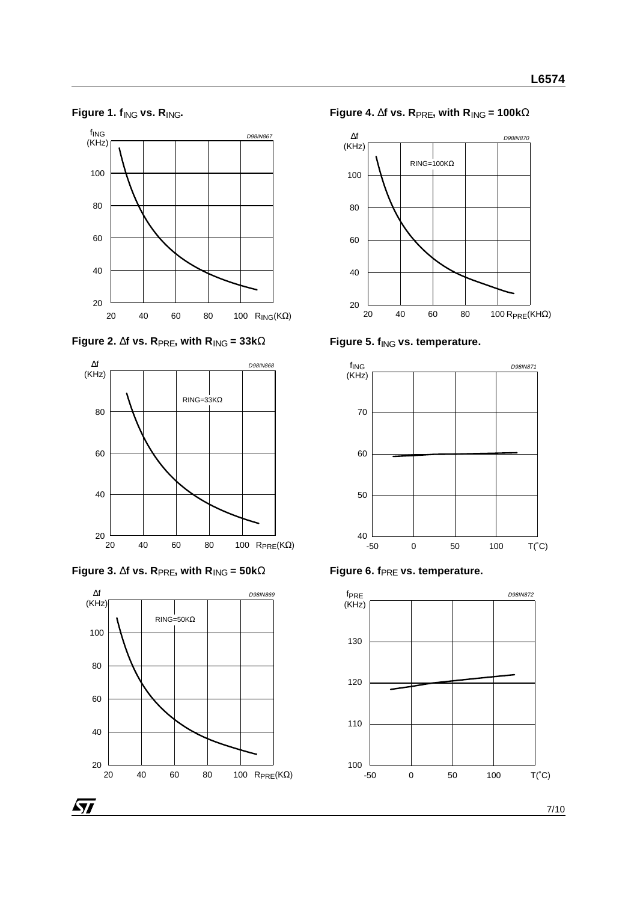**Figure 1. f**ING **vs. R**ING**.**











**Figure 4.** ∆**f vs. R**PRE**, with R**ING **= 100k**Ω



Figure 5.  $f_{\text{ING}}$  vs. temperature.



Figure 6. f<sub>PRE</sub> vs. temperature.

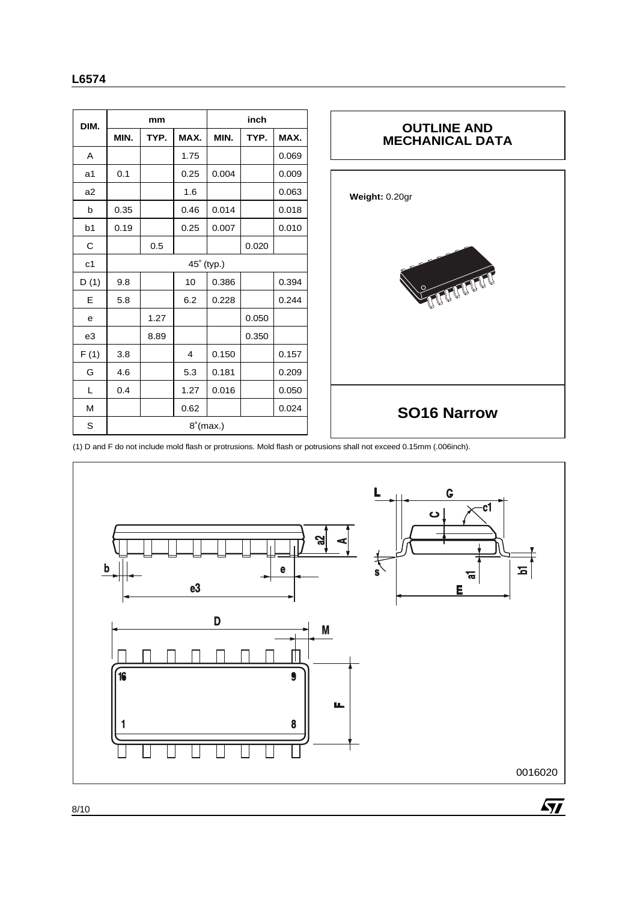| DIM.           |             | mm   |      |            | inch  |       |
|----------------|-------------|------|------|------------|-------|-------|
|                | MIN.        | TYP. | MAX. | MIN.       | TYP.  | MAX.  |
| A              |             |      | 1.75 |            |       | 0.069 |
| a1             | 0.1         |      | 0.25 | 0.004      |       | 0.009 |
| a <sub>2</sub> |             |      | 1.6  |            |       | 0.063 |
| b              | 0.35        |      | 0.46 | 0.014      |       | 0.018 |
| b1             | 0.19        |      | 0.25 | 0.007      |       | 0.010 |
| C              |             | 0.5  |      |            | 0.020 |       |
| c <sub>1</sub> |             |      |      | 45° (typ.) |       |       |
| D(1)           | 9.8         |      | 10   | 0.386      |       | 0.394 |
| Е              | 5.8         |      | 6.2  | 0.228      |       | 0.244 |
| е              |             | 1.27 |      |            | 0.050 |       |
| e3             |             | 8.89 |      |            | 0.350 |       |
| F(1)           | 3.8         |      | 4    | 0.150      |       | 0.157 |
| G              | 4.6         |      | 5.3  | 0.181      |       | 0.209 |
| L              | 0.4         |      | 1.27 | 0.016      |       | 0.050 |
| M              |             |      | 0.62 |            |       | 0.024 |
| S              | $8°$ (max.) |      |      |            |       |       |



(1) D and F do not include mold flash or protrusions. Mold flash or potrusions shall not exceed 0.15mm (.006inch).

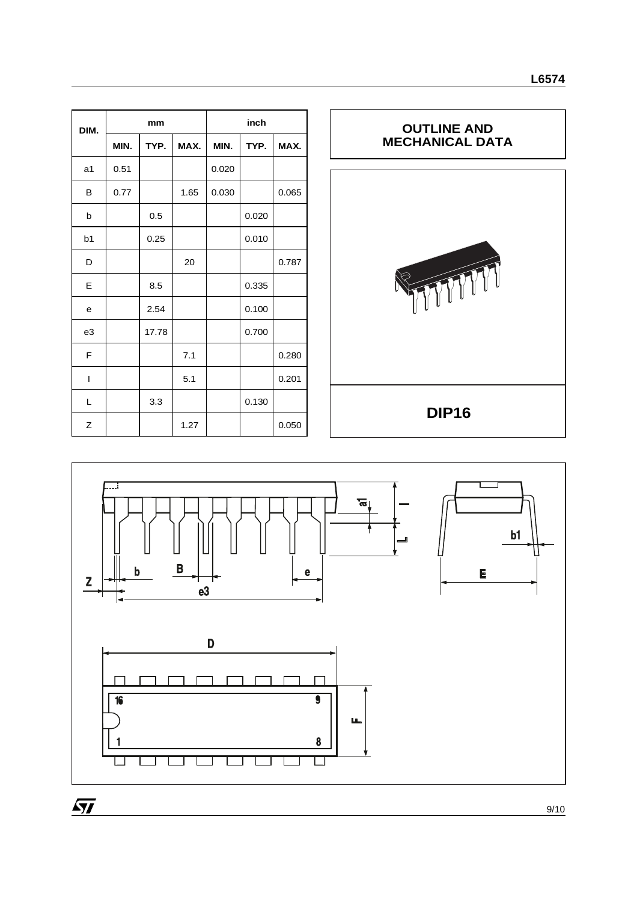| DIM.           | mm   |       |      | inch  |       |       |  |
|----------------|------|-------|------|-------|-------|-------|--|
|                | MIN. | TYP.  | MAX. | MIN.  | TYP.  | MAX.  |  |
| a <sub>1</sub> | 0.51 |       |      | 0.020 |       |       |  |
| B              | 0.77 |       | 1.65 | 0.030 |       | 0.065 |  |
| b              |      | 0.5   |      |       | 0.020 |       |  |
| b <sub>1</sub> |      | 0.25  |      |       | 0.010 |       |  |
| D              |      |       | 20   |       |       | 0.787 |  |
| Е              |      | 8.5   |      |       | 0.335 |       |  |
| e              |      | 2.54  |      |       | 0.100 |       |  |
| e3             |      | 17.78 |      |       | 0.700 |       |  |
| F              |      |       | 7.1  |       |       | 0.280 |  |
| T              |      |       | 5.1  |       |       | 0.201 |  |
| L              |      | 3.3   |      |       | 0.130 |       |  |
| Z              |      |       | 1.27 |       |       | 0.050 |  |